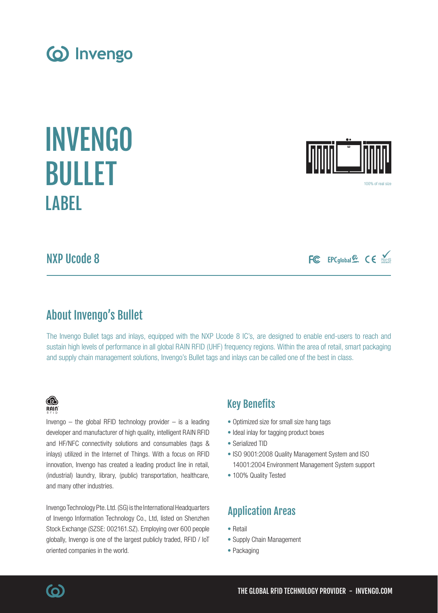NXP Ucode 8

**LABEL** 

INVENGO

(o) Invengo

BULLET

About Invengo's Bullet

The Invengo Bullet tags and inlays, equipped with the NXP Ucode 8 IC's, are designed to enable end-users to reach and sustain high levels of performance in all global RAIN RFID (UHF) frequency regions. Within the area of retail, smart packaging and supply chain management solutions, Invengo's Bullet tags and inlays can be called one of the best in class.

Key Benefits

- Optimized size for small size hang tags
- Ideal inlay for tagging product boxes
- ISO 9001:2008 Quality Management System and ISO 14001:2004 Environment Management System support
- 100% Quality Tested

# Application Areas

- 
- Supply Chain Management
- Packaging

Invengo  $-$  the global RFID technology provider  $-$  is a leading developer and manufacturer of high quality, intelligent RAIN RFID and HF/NFC connectivity solutions and consumables (tags & inlays) utilized in the Internet of Things. With a focus on RFID innovation, Invengo has created a leading product line in retail, (industrial) laundry, library, (public) transportation, healthcare,

Invengo Technology Pte. Ltd. (SG) is the International Headquarters of Invengo Information Technology Co., Ltd, listed on Shenzhen Stock Exchange (SZSE: 002161.SZ). Employing over 600 people globally, Invengo is one of the largest publicly traded, RFID / IoT

- 
- 
- Serialized TID
	-





® RAIN

and many other industries.

oriented companies in the world.





100% of real size